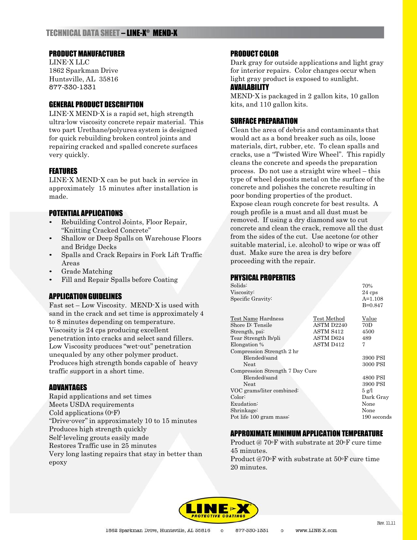# TECHNICAL DATA SHEET – LINE-X ® MEND-X

### PRODUCT MANUFACTURER

LINE-X LLC 1862 Sparkman Drive Huntsville, AL 35816 877-330-1331

## GENERAL PRODUCT DESCRIPTION

LINE-X MEND-X is a rapid set, high strength ultra-low viscosity concrete repair material. This two part Urethane/polyurea system is designed for quick rebuilding broken control joints and repairing cracked and spalled concrete surfaces very quickly.

### FEATURES

LINE-X MEND-X can be put back in service in approximately 15 minutes after installation is made.

### POTENTIAL APPLICATIONS

- Rebuilding Control Joints, Floor Repair, "Knitting Cracked Concrete"
- Shallow or Deep Spalls on Warehouse Floors and Bridge Decks
- Spalls and Crack Repairs in Fork Lift Traffic Areas
- Grade Matching
- Fill and Repair Spalls before Coating

## APPLICATION GUIDELINES

Fast set – Low Viscosity. MEND-X is used with sand in the crack and set time is approximately 4 to 8 minutes depending on temperature. Viscosity is 24 cps producing excellent penetration into cracks and select sand fillers. Low Viscosity produces "wet-out" penetration unequaled by any other polymer product. Produces high strength bonds capable of heavy traffic support in a short time.

### ADVANTAGES

Rapid applications and set times Meets USDA requirements Cold applications  $(0^{\circ}F)$ "Drive-over" in approximately 10 to 15 minutes Produces high strength quickly Self-leveling grouts easily made Restores Traffic use in 25 minutes Very long lasting repairs that stay in better than epoxy

### PRODUCT COLOR

Dark gray for outside applications and light gray for interior repairs. Color changes occur when light gray product is exposed to sunlight.

### AVAILABILITY

MEND-X is packaged in 2 gallon kits, 10 gallon kits, and 110 gallon kits.

## SURFACE PREPARATION

Clean the area of debris and contaminants that would act as a bond breaker such as oils, loose materials, dirt, rubber, etc. To clean spalls and cracks, use a "Twisted Wire Wheel". This rapidly cleans the concrete and speeds the preparation process. Do not use a straight wire wheel – this type of wheel deposits metal on the surface of the concrete and polishes the concrete resulting in poor bonding properties of the product. Expose clean rough concrete for best results. A rough profile is a must and all dust must be removed. If using a dry diamond saw to cut concrete and clean the crack, remove all the dust from the sides of the cut. Use acetone (or other suitable material, i.e. alcohol) to wipe or was off dust. Make sure the area is dry before proceeding with the repair.

## PHYSICAL PROPERTIES

| Solids:                         |                  | 70%             |
|---------------------------------|------------------|-----------------|
| Viscosity:                      |                  | $24$ cps        |
| Specific Gravity:               |                  | $A=1.108$       |
|                                 |                  | $B=0.847$       |
| Test Name Hardness              | Test Method      | Value           |
| Shore D: Tensile                | ASTM D2240       | 70D             |
| Strength, psi                   | ASTM S412        | 4500            |
| Tear Strength lb/pli            | ASTM D624        | 489             |
| Elongation %                    | <b>ASTM D412</b> | 7               |
| Compression Strength 2 hr       |                  |                 |
| Blended/sand                    |                  | 3900 PSI        |
| Neat                            |                  | 3000 PSI        |
| Compression Strength 7 Day Cure |                  |                 |
| Blended/sand                    |                  | 4800 PSI        |
| Neat                            |                  | 3900 PSI        |
| VOC grams/liter combined:       |                  | $5 \text{ g}/l$ |
| Color:                          |                  | Dark Gray       |
| Exudation:                      |                  | None            |
| Shrinkage:                      |                  | None            |
| Pot life 100 gram mass:         |                  | $190$ seconds   |
|                                 |                  |                 |

#### APPROXIMATE MINIMUM APPLICATION TEMPERATURE

Product @ 70°F with substrate at 20°F cure time 45 minutes. Product @70°F with substrate at 50°F cure time 20 minutes.

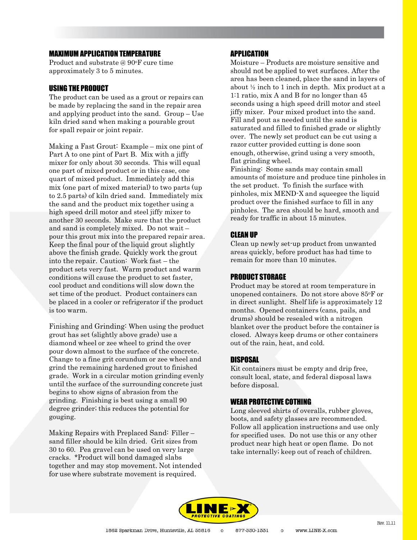# MAXIMUM APPLICATION TEMPERATURE

Product and substrate @ 90oF cure time approximately 3 to 5 minutes.

#### USING THE PRODUCT

The product can be used as a grout or repairs can be made by replacing the sand in the repair area and applying product into the sand. Group – Use kiln dried sand when making a pourable grout for spall repair or joint repair.

Making a Fast Grout: Example – mix one pint of Part A to one pint of Part B. Mix with a jiffy mixer for only about 30 seconds. This will equal one part of mixed product or in this case, one quart of mixed product. Immediately add this mix (one part of mixed material) to two parts (up to 2.5 parts) of kiln dried sand. Immediately mix the sand and the product mix together using a high speed drill motor and steel jiffy mixer to another 30 seconds. Make sure that the product and sand is completely mixed. Do not wait – pour this grout mix into the prepared repair area. Keep the final pour of the liquid grout slightly above the finish grade. Quickly work the grout into the repair. Caution: Work fast – the product sets very fast. Warm product and warm conditions will cause the product to set faster, cool product and conditions will slow down the set time of the product. Product containers can be placed in a cooler or refrigerator if the product is too warm.

Finishing and Grinding: When using the product grout has set (slightly above grade) use a diamond wheel or zee wheel to grind the over pour down almost to the surface of the concrete. Change to a fine grit corundum or zee wheel and grind the remaining hardened grout to finished grade. Work in a circular motion grinding evenly until the surface of the surrounding concrete just begins to show signs of abrasion from the grinding. Finishing is best using a small 90 degree grinder; this reduces the potential for gouging.

Making Repairs with Preplaced Sand: Filler – sand filler should be kiln dried. Grit sizes from 30 to 60. Pea gravel can be used on very large cracks. \*Product will bond damaged slabs together and may stop movement. Not intended for use where substrate movement is required.

## **APPLICATION**

Moisture – Products are moisture sensitive and should not be applied to wet surfaces. After the area has been cleaned, place the sand in layers of about ½ inch to 1 inch in depth. Mix product at a 1:1 ratio, mix A and B for no longer than 45 seconds using a high speed drill motor and steel jiffy mixer. Pour mixed product into the sand. Fill and pout as needed until the sand is saturated and filled to finished grade or slightly over. The newly set product can be cut using a razor cutter provided cutting is done soon enough, otherwise, grind using a very smooth, flat grinding wheel.

Finishing: Some sands may contain small amounts of moisture and produce tine pinholes in the set product. To finish the surface with pinholes, mix MEND-X and squeegee the liquid product over the finished surface to fill in any pinholes. The area should be hard, smooth and ready for traffic in about 15 minutes.

### CLEAN UP

Clean up newly set-up product from unwanted areas quickly, before product has had time to remain for more than 10 minutes.

### PRODUCT STORAGE

Product may be stored at room temperature in unopened containers. Do not store above 85oF or in direct sunlight. Shelf life is approximately 12 months. Opened containers (cans, pails, and drums) should be resealed with a nitrogen blanket over the product before the container is closed. Always keep drums or other containers out of the rain, heat, and cold.

### DISPOSAL

Kit containers must be empty and drip free, consult local, state, and federal disposal laws before disposal.

#### WEAR PROTECTIVE COTHING

Long sleeved shirts of overalls, rubber gloves, boots, and safety glasses are recommended. Follow all application instructions and use only for specified uses. Do not use this or any other product near high heat or open flame. Do not take internally; keep out of reach of children.